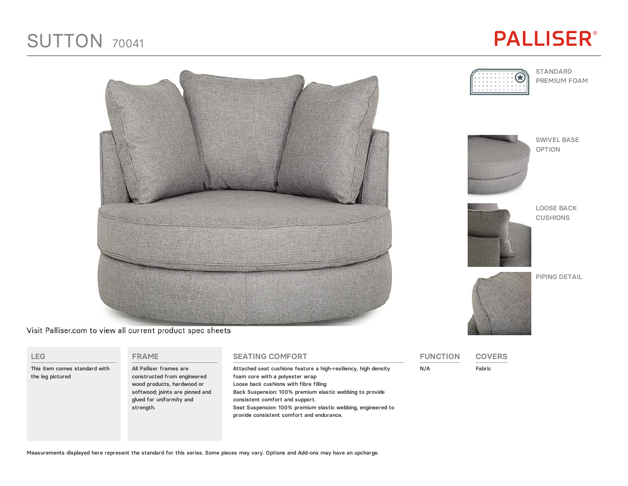## SUTTON <sup>70041</sup>





Visit Palliser.com to view all current product spec sheets

| LEG.                                              | <b>FRAME</b>                                                                                                                                                     | <b>SEATING COMFORT</b>                                                                                                                                                                                                                                                                                                                                  | <b>FUNCTION</b> | <b>COVERS</b> |
|---------------------------------------------------|------------------------------------------------------------------------------------------------------------------------------------------------------------------|---------------------------------------------------------------------------------------------------------------------------------------------------------------------------------------------------------------------------------------------------------------------------------------------------------------------------------------------------------|-----------------|---------------|
| This item comes standard with<br>the leg pictured | All Palliser frames are<br>constructed from engineered<br>wood products, hardwood or<br>softwood; joints are pinned and<br>glued for uniformity and<br>strength. | Attached seat cushions feature a high-resiliency, high density<br>foam core with a polyester wrap<br>Loose back cushions with fibre filling<br>Back Suspension: 100% premium elastic webbing to provide<br>consistent comfort and support.<br>Seat Suspension: 100% premium elastic webbing, engineered to<br>provide consistent comfort and endurance. | N/A             | Fabric        |

STANDARD PREMIUM FOAM



SWIVEL BASE OPTION



LOOSE BACK CUSHIONS

PIPING DETAIL



Measurements displayed here represent the standard for this series. Some pieces may vary. Options and Add-ons may have an upcharge.